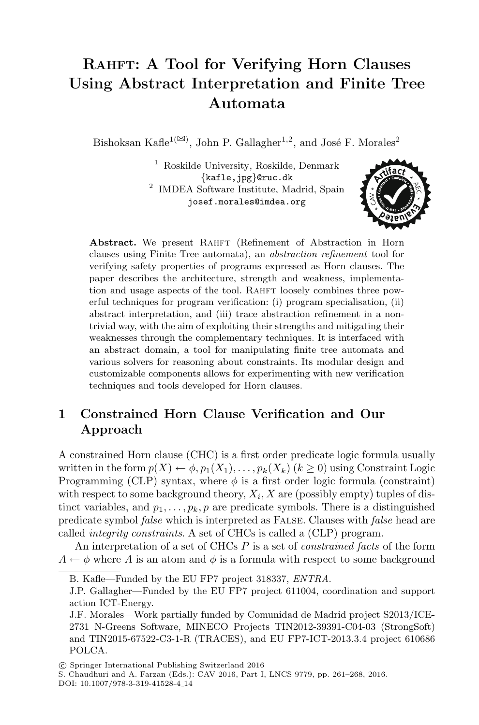# **RAHFT: A Tool for Verifying Horn Clauses Using Abstract Interpretation and Finite Tree Automata**

Bishoksan Kafle<sup>1( $\boxtimes$ )</sup>, John P. Gallagher<sup>1,2</sup>, and José F. Morales<sup>2</sup>

<sup>1</sup> Roskilde University, Roskilde, Denmark *{*kafle,jpg*}*@ruc.dk <sup>2</sup> IMDEA Software Institute, Madrid, Spain josef.morales@imdea.org



Abstract. We present RAHFT (Refinement of Abstraction in Horn clauses using Finite Tree automata), an *abstraction refinement* tool for verifying safety properties of programs expressed as Horn clauses. The paper describes the architecture, strength and weakness, implementation and usage aspects of the tool. RAHFT loosely combines three powerful techniques for program verification: (i) program specialisation, (ii) abstract interpretation, and (iii) trace abstraction refinement in a nontrivial way, with the aim of exploiting their strengths and mitigating their weaknesses through the complementary techniques. It is interfaced with an abstract domain, a tool for manipulating finite tree automata and various solvers for reasoning about constraints. Its modular design and customizable components allows for experimenting with new verification techniques and tools developed for Horn clauses.

## **1 Constrained Horn Clause Verification and Our Approach**

A constrained Horn clause (CHC) is a first order predicate logic formula usually written in the form  $p(X) \leftarrow \phi, p_1(X_1), \ldots, p_k(X_k)$  ( $k \geq 0$ ) using Constraint Logic Programming (CLP) syntax, where  $\phi$  is a first order logic formula (constraint) with respect to some background theory,  $X_i$ ,  $X$  are (possibly empty) tuples of distinct variables, and  $p_1, \ldots, p_k, p$  are predicate symbols. There is a distinguished predicate symbol *false* which is interpreted as False. Clauses with *false* head are called *integrity constraints*. A set of CHCs is called a (CLP) program.

An interpretation of a set of CHCs P is a set of *constrained facts* of the form  $A \leftarrow \phi$  where A is an atom and  $\phi$  is a formula with respect to some background

B. Kafle—Funded by the EU FP7 project 318337, *ENTRA*.

J.P. Gallagher—Funded by the EU FP7 project 611004, coordination and support action ICT-Energy.

J.F. Morales—Work partially funded by Comunidad de Madrid project S2013/ICE-2731 N-Greens Software, MINECO Projects TIN2012-39391-C04-03 (StrongSoft) and TIN2015-67522-C3-1-R (TRACES), and EU FP7-ICT-2013.3.4 project 610686 POLCA.

<sup>-</sup>c Springer International Publishing Switzerland 2016

S. Chaudhuri and A. Farzan (Eds.): CAV 2016, Part I, LNCS 9779, pp. 261–268, 2016. DOI: 10.1007/978-3-319-41528-4 14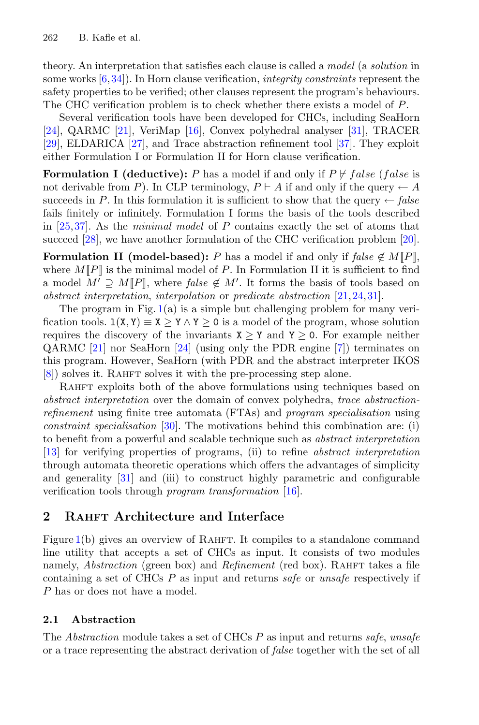theory. An interpretation that satisfies each clause is called a *model* (a *solution* in some works [\[6](#page-5-0)[,34](#page-6-0)]). In Horn clause verification, *integrity constraints* represent the safety properties to be verified; other clauses represent the program's behaviours. The CHC verification problem is to check whether there exists a model of P.

Several verification tools have been developed for CHCs, including SeaHorn [\[24](#page-6-1)], QARMC [\[21](#page-6-2)], VeriMap [\[16\]](#page-5-1), Convex polyhedral analyser [\[31](#page-6-3)], TRACER [\[29](#page-6-4)], ELDARICA [\[27\]](#page-6-5), and Trace abstraction refinement tool [\[37\]](#page-7-0). They exploit either Formulation I or Formulation II for Horn clause verification.

**Formulation I (deductive):** P has a model if and only if  $P \nvdash false$  (false is not derivable from P). In CLP terminology,  $P \vdash A$  if and only if the query  $\leftarrow A$ succeeds in P. In this formulation it is sufficient to show that the query  $\leftarrow$  *false* fails finitely or infinitely. Formulation I forms the basis of the tools described in [\[25,](#page-6-6)[37](#page-7-0)]. As the *minimal model* of P contains exactly the set of atoms that succeed [\[28\]](#page-6-7), we have another formulation of the CHC verification problem [\[20\]](#page-6-8).

**Formulation II (model-based):** P has a model if and only if  $false \notin M[P]$ , where  $M[\![P]\!]$  is the minimal model of P. In Formulation II it is sufficient to find a model  $M' \supseteq M[P]$ , where *false*  $\notin M'$ . It forms the basis of tools based on *abstract interpretation*, *interpolation* or *predicate abstraction* [\[21](#page-6-2)[,24](#page-6-1)[,31](#page-6-3)].

The program in Fig. [1\(](#page-2-0)a) is a simple but challenging problem for many verification tools.  $1(X, Y) \equiv X \ge Y \land Y \ge 0$  is a model of the program, whose solution requires the discovery of the invariants  $X \geq Y$  and  $Y \geq 0$ . For example neither QARMC [\[21\]](#page-6-2) nor SeaHorn [\[24\]](#page-6-1) (using only the PDR engine [\[7](#page-5-2)]) terminates on this program. However, SeaHorn (with PDR and the abstract interpreter IKOS [\[8](#page-5-3)]) solves it. RAHFT solves it with the pre-processing step alone.

Rahft exploits both of the above formulations using techniques based on *abstract interpretation* over the domain of convex polyhedra, *trace abstractionrefinement* using finite tree automata (FTAs) and *program specialisation* using *constraint specialisation* [\[30\]](#page-6-9). The motivations behind this combination are: (i) to benefit from a powerful and scalable technique such as *abstract interpretation* [\[13](#page-5-4)] for verifying properties of programs, (ii) to refine *abstract interpretation* through automata theoretic operations which offers the advantages of simplicity and generality [\[31](#page-6-3)] and (iii) to construct highly parametric and configurable verification tools through *program transformation* [\[16](#page-5-1)].

### **2 RAHFT Architecture and Interface**

Figure  $1(b)$  $1(b)$  gives an overview of RAHFT. It compiles to a standalone command line utility that accepts a set of CHCs as input. It consists of two modules namely, *Abstraction* (green box) and *Refinement* (red box). RAHFT takes a file containing a set of CHCs P as input and returns *safe* or *unsafe* respectively if P has or does not have a model.

### **2.1 Abstraction**

The *Abstraction* module takes a set of CHCs P as input and returns *safe*, *unsafe* or a trace representing the abstract derivation of *false* together with the set of all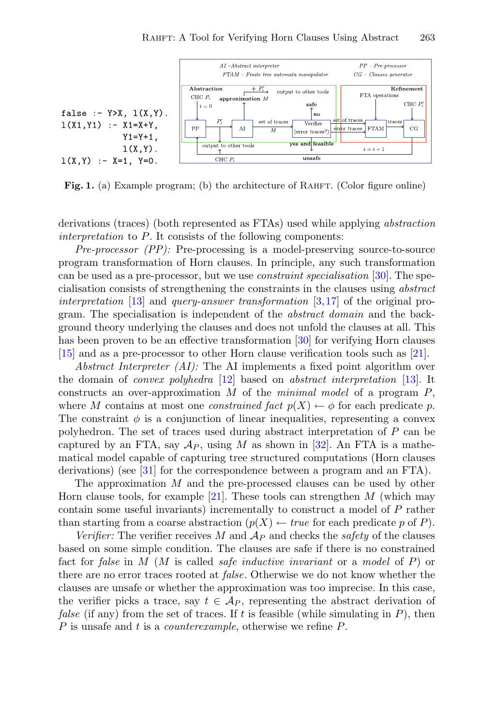

<span id="page-2-0"></span>Fig. 1. (a) Example program; (b) the architecture of RAHFT. (Color figure online)

derivations (traces) (both represented as FTAs) used while applying *abstraction interpretation* to P. It consists of the following components:

*Pre-processor (PP):* Pre-processing is a model-preserving source-to-source program transformation of Horn clauses. In principle, any such transformation can be used as a pre-processor, but we use *constraint specialisation* [\[30](#page-6-9)]. The specialisation consists of strengthening the constraints in the clauses using *abstract interpretation* [\[13](#page-5-4)] and *query-answer transformation* [\[3](#page-5-5),[17\]](#page-6-10) of the original program. The specialisation is independent of the *abstract domain* and the background theory underlying the clauses and does not unfold the clauses at all. This has been proven to be an effective transformation [\[30](#page-6-9)] for verifying Horn clauses [\[15](#page-5-6)] and as a pre-processor to other Horn clause verification tools such as [\[21\]](#page-6-2).

*Abstract Interpreter (AI):* The AI implements a fixed point algorithm over the domain of *convex polyhedra* [\[12](#page-5-7)] based on *abstract interpretation* [\[13\]](#page-5-4). It constructs an over-approximation M of the *minimal model* of a program P, where M contains at most one *constrained fact*  $p(X) \leftarrow \phi$  for each predicate p. The constraint  $\phi$  is a conjunction of linear inequalities, representing a convex polyhedron. The set of traces used during abstract interpretation of P can be captured by an FTA, say  $\mathcal{A}_P$ , using M as shown in [\[32](#page-6-11)]. An FTA is a mathematical model capable of capturing tree structured computations (Horn clauses derivations) (see [\[31\]](#page-6-3) for the correspondence between a program and an FTA).

The approximation  $M$  and the pre-processed clauses can be used by other Horn clause tools, for example  $[21]$  $[21]$ . These tools can strengthen M (which may contain some useful invariants) incrementally to construct a model of P rather than starting from a coarse abstraction  $(p(X) \leftarrow true$  for each predicate p of P).

*Verifier:* The verifier receives M and  $A_P$  and checks the *safety* of the clauses based on some simple condition. The clauses are safe if there is no constrained fact for *false* in M (M is called *safe inductive invariant* or a *model* of P) or there are no error traces rooted at *false*. Otherwise we do not know whether the clauses are unsafe or whether the approximation was too imprecise. In this case, the verifier picks a trace, say  $t \in A_P$ , representing the abstract derivation of *false* (if any) from the set of traces. If t is feasible (while simulating in  $P$ ), then P is unsafe and t is a *counterexample*, otherwise we refine P.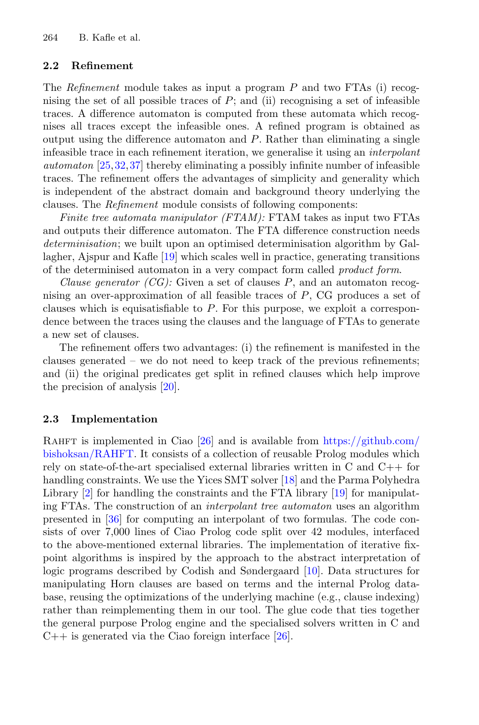#### **2.2 Refinement**

The *Refinement* module takes as input a program P and two FTAs (i) recognising the set of all possible traces of  $P$ ; and (ii) recognising a set of infeasible traces. A difference automaton is computed from these automata which recognises all traces except the infeasible ones. A refined program is obtained as output using the difference automaton and  $P$ . Rather than eliminating a single infeasible trace in each refinement iteration, we generalise it using an *interpolant automaton* [\[25,](#page-6-6)[32](#page-6-11)[,37\]](#page-7-0) thereby eliminating a possibly infinite number of infeasible traces. The refinement offers the advantages of simplicity and generality which is independent of the abstract domain and background theory underlying the clauses. The *Refinement* module consists of following components:

*Finite tree automata manipulator (FTAM):* FTAM takes as input two FTAs and outputs their difference automaton. The FTA difference construction needs *determinisation*; we built upon an optimised determinisation algorithm by Gallagher, Ajspur and Kafle [\[19](#page-6-12)] which scales well in practice, generating transitions of the determinised automaton in a very compact form called *product form*.

*Clause generator*  $(CG)$ *:* Given a set of clauses P, and an automaton recognising an over-approximation of all feasible traces of  $P$ ,  $CG$  produces a set of clauses which is equisatisfiable to P. For this purpose, we exploit a correspondence between the traces using the clauses and the language of FTAs to generate a new set of clauses.

The refinement offers two advantages: (i) the refinement is manifested in the clauses generated – we do not need to keep track of the previous refinements; and (ii) the original predicates get split in refined clauses which help improve the precision of analysis [\[20\]](#page-6-8).

#### **2.3 Implementation**

RAHFT is implemented in Ciao [\[26\]](#page-6-13) and is available from [https://github.com/](https://github.com/bishoksan/RAHFT) [bishoksan/RAHFT.](https://github.com/bishoksan/RAHFT) It consists of a collection of reusable Prolog modules which rely on state-of-the-art specialised external libraries written in C and C++ for handling constraints. We use the Yices SMT solver [\[18](#page-6-14)] and the Parma Polyhedra Library  $\left[2\right]$  for handling the constraints and the FTA library  $\left[19\right]$  for manipulating FTAs. The construction of an *interpolant tree automaton* uses an algorithm presented in [\[36](#page-7-1)] for computing an interpolant of two formulas. The code consists of over 7,000 lines of Ciao Prolog code split over 42 modules, interfaced to the above-mentioned external libraries. The implementation of iterative fixpoint algorithms is inspired by the approach to the abstract interpretation of logic programs described by Codish and Søndergaard [\[10](#page-5-9)]. Data structures for manipulating Horn clauses are based on terms and the internal Prolog database, reusing the optimizations of the underlying machine (e.g., clause indexing) rather than reimplementing them in our tool. The glue code that ties together the general purpose Prolog engine and the specialised solvers written in C and  $C++$  is generated via the Ciao foreign interface [\[26\]](#page-6-13).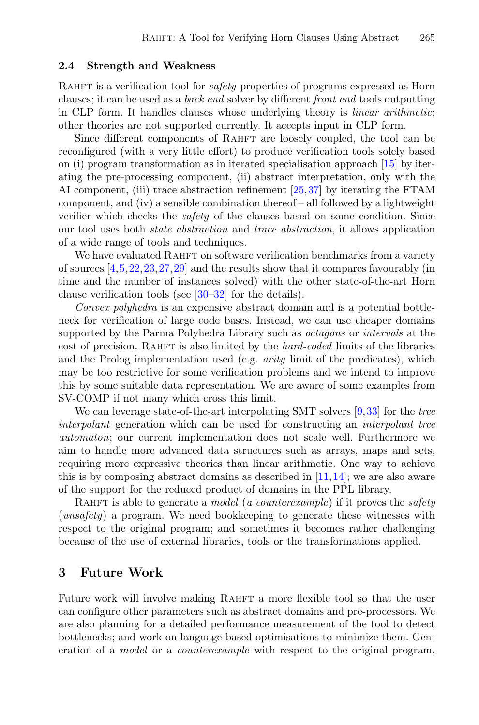#### **2.4 Strength and Weakness**

Rahft is a verification tool for *safety* properties of programs expressed as Horn clauses; it can be used as a *back end* solver by different *front end* tools outputting in CLP form. It handles clauses whose underlying theory is *linear arithmetic*; other theories are not supported currently. It accepts input in CLP form.

Since different components of RAHFT are loosely coupled, the tool can be reconfigured (with a very little effort) to produce verification tools solely based on (i) program transformation as in iterated specialisation approach [\[15](#page-5-6)] by iterating the pre-processing component, (ii) abstract interpretation, only with the AI component, (iii) trace abstraction refinement [\[25](#page-6-6),[37\]](#page-7-0) by iterating the FTAM component, and (iv) a sensible combination thereof – all followed by a lightweight verifier which checks the *safety* of the clauses based on some condition. Since our tool uses both *state abstraction* and *trace abstraction*, it allows application of a wide range of tools and techniques.

We have evaluated RAHFT on software verification benchmarks from a variety of sources [\[4,](#page-5-10)[5,](#page-5-11)[22](#page-6-15)[,23](#page-6-16),[27,](#page-6-5)[29\]](#page-6-4) and the results show that it compares favourably (in time and the number of instances solved) with the other state-of-the-art Horn clause verification tools (see  $[30-32]$  $[30-32]$  for the details).

*Convex polyhedra* is an expensive abstract domain and is a potential bottleneck for verification of large code bases. Instead, we can use cheaper domains supported by the Parma Polyhedra Library such as *octagons* or *intervals* at the cost of precision. Rahft is also limited by the *hard-coded* limits of the libraries and the Prolog implementation used (e.g. *arity* limit of the predicates), which may be too restrictive for some verification problems and we intend to improve this by some suitable data representation. We are aware of some examples from SV-COMP if not many which cross this limit.

We can leverage state-of-the-art interpolating SMT solvers [\[9,](#page-5-12)[33](#page-6-17)] for the *tree interpolant* generation which can be used for constructing an *interpolant tree automaton*; our current implementation does not scale well. Furthermore we aim to handle more advanced data structures such as arrays, maps and sets, requiring more expressive theories than linear arithmetic. One way to achieve this is by composing abstract domains as described in  $[11,14]$  $[11,14]$ ; we are also aware of the support for the reduced product of domains in the PPL library.

Rahft is able to generate a *model* (*a counterexample*) if it proves the *safety* (*unsafety*) a program. We need bookkeeping to generate these witnesses with respect to the original program; and sometimes it becomes rather challenging because of the use of external libraries, tools or the transformations applied.

#### **3 Future Work**

Future work will involve making RAHFT a more flexible tool so that the user can configure other parameters such as abstract domains and pre-processors. We are also planning for a detailed performance measurement of the tool to detect bottlenecks; and work on language-based optimisations to minimize them. Generation of a *model* or a *counterexample* with respect to the original program,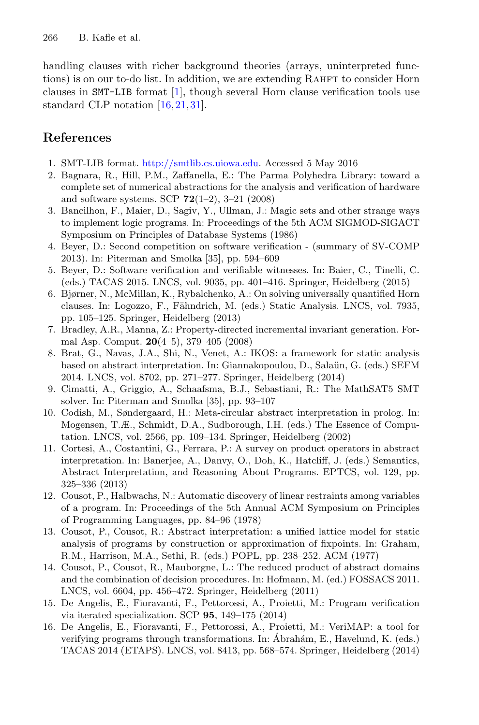handling clauses with richer background theories (arrays, uninterpreted functions) is on our to-do list. In addition, we are extending RAHFT to consider Horn clauses in SMT-LIB format [\[1\]](#page-5-15), though several Horn clause verification tools use standard CLP notation [\[16](#page-5-1),[21,](#page-6-2)[31\]](#page-6-3).

# <span id="page-5-15"></span>**References**

- 1. SMT-LIB format. [http://smtlib.cs.uiowa.edu.](http://smtlib.cs.uiowa.edu) Accessed 5 May 2016
- <span id="page-5-8"></span>2. Bagnara, R., Hill, P.M., Zaffanella, E.: The Parma Polyhedra Library: toward a complete set of numerical abstractions for the analysis and verification of hardware and software systems. SCP **72**(1–2), 3–21 (2008)
- <span id="page-5-5"></span>3. Bancilhon, F., Maier, D., Sagiv, Y., Ullman, J.: Magic sets and other strange ways to implement logic programs. In: Proceedings of the 5th ACM SIGMOD-SIGACT Symposium on Principles of Database Systems (1986)
- <span id="page-5-10"></span>4. Beyer, D.: Second competition on software verification - (summary of SV-COMP 2013). In: Piterman and Smolka [35], pp. 594–609
- <span id="page-5-11"></span>5. Beyer, D.: Software verification and verifiable witnesses. In: Baier, C., Tinelli, C. (eds.) TACAS 2015. LNCS, vol. 9035, pp. 401–416. Springer, Heidelberg (2015)
- <span id="page-5-0"></span>6. Bjørner, N., McMillan, K., Rybalchenko, A.: On solving universally quantified Horn clauses. In: Logozzo, F., Fähndrich, M. (eds.) Static Analysis. LNCS, vol. 7935, pp. 105–125. Springer, Heidelberg (2013)
- <span id="page-5-2"></span>7. Bradley, A.R., Manna, Z.: Property-directed incremental invariant generation. Formal Asp. Comput. **20**(4–5), 379–405 (2008)
- <span id="page-5-3"></span>8. Brat, G., Navas, J.A., Shi, N., Venet, A.: IKOS: a framework for static analysis based on abstract interpretation. In: Giannakopoulou, D., Salaün, G. (eds.) SEFM 2014. LNCS, vol. 8702, pp. 271–277. Springer, Heidelberg (2014)
- <span id="page-5-12"></span>9. Cimatti, A., Griggio, A., Schaafsma, B.J., Sebastiani, R.: The MathSAT5 SMT solver. In: Piterman and Smolka [35], pp. 93–107
- <span id="page-5-9"></span>10. Codish, M., Søndergaard, H.: Meta-circular abstract interpretation in prolog. In: Mogensen, T.Æ., Schmidt, D.A., Sudborough, I.H. (eds.) The Essence of Computation. LNCS, vol. 2566, pp. 109–134. Springer, Heidelberg (2002)
- <span id="page-5-13"></span>11. Cortesi, A., Costantini, G., Ferrara, P.: A survey on product operators in abstract interpretation. In: Banerjee, A., Danvy, O., Doh, K., Hatcliff, J. (eds.) Semantics, Abstract Interpretation, and Reasoning About Programs. EPTCS, vol. 129, pp. 325–336 (2013)
- <span id="page-5-7"></span>12. Cousot, P., Halbwachs, N.: Automatic discovery of linear restraints among variables of a program. In: Proceedings of the 5th Annual ACM Symposium on Principles of Programming Languages, pp. 84–96 (1978)
- <span id="page-5-4"></span>13. Cousot, P., Cousot, R.: Abstract interpretation: a unified lattice model for static analysis of programs by construction or approximation of fixpoints. In: Graham, R.M., Harrison, M.A., Sethi, R. (eds.) POPL, pp. 238–252. ACM (1977)
- <span id="page-5-14"></span>14. Cousot, P., Cousot, R., Mauborgne, L.: The reduced product of abstract domains and the combination of decision procedures. In: Hofmann, M. (ed.) FOSSACS 2011. LNCS, vol. 6604, pp. 456–472. Springer, Heidelberg (2011)
- <span id="page-5-6"></span>15. De Angelis, E., Fioravanti, F., Pettorossi, A., Proietti, M.: Program verification via iterated specialization. SCP **95**, 149–175 (2014)
- <span id="page-5-1"></span>16. De Angelis, E., Fioravanti, F., Pettorossi, A., Proietti, M.: VeriMAP: a tool for verifying programs through transformations. In: Abrahám, E., Havelund, K. (eds.) TACAS 2014 (ETAPS). LNCS, vol. 8413, pp. 568–574. Springer, Heidelberg (2014)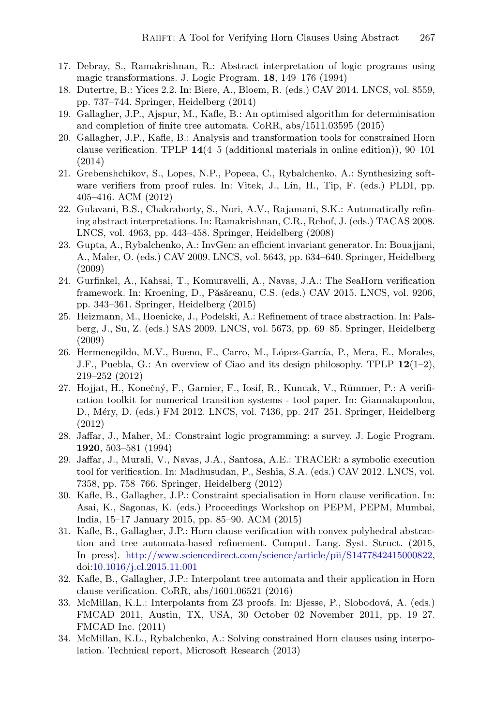- <span id="page-6-10"></span>17. Debray, S., Ramakrishnan, R.: Abstract interpretation of logic programs using magic transformations. J. Logic Program. **18**, 149–176 (1994)
- <span id="page-6-14"></span>18. Dutertre, B.: Yices 2.2. In: Biere, A., Bloem, R. (eds.) CAV 2014. LNCS, vol. 8559, pp. 737–744. Springer, Heidelberg (2014)
- <span id="page-6-12"></span>19. Gallagher, J.P., Ajspur, M., Kafle, B.: An optimised algorithm for determinisation and completion of finite tree automata. CoRR, abs/1511.03595 (2015)
- <span id="page-6-8"></span>20. Gallagher, J.P., Kafle, B.: Analysis and transformation tools for constrained Horn clause verification. TPLP **14**(4–5 (additional materials in online edition)), 90–101 (2014)
- <span id="page-6-2"></span>21. Grebenshchikov, S., Lopes, N.P., Popeea, C., Rybalchenko, A.: Synthesizing software verifiers from proof rules. In: Vitek, J., Lin, H., Tip, F. (eds.) PLDI, pp. 405–416. ACM (2012)
- <span id="page-6-15"></span>22. Gulavani, B.S., Chakraborty, S., Nori, A.V., Rajamani, S.K.: Automatically refining abstract interpretations. In: Ramakrishnan, C.R., Rehof, J. (eds.) TACAS 2008. LNCS, vol. 4963, pp. 443–458. Springer, Heidelberg (2008)
- <span id="page-6-16"></span>23. Gupta, A., Rybalchenko, A.: InvGen: an efficient invariant generator. In: Bouajjani, A., Maler, O. (eds.) CAV 2009. LNCS, vol. 5643, pp. 634–640. Springer, Heidelberg (2009)
- <span id="page-6-1"></span>24. Gurfinkel, A., Kahsai, T., Komuravelli, A., Navas, J.A.: The SeaHorn verification framework. In: Kroening, D., Păsăreanu, C.S. (eds.) CAV 2015. LNCS, vol. 9206, pp. 343–361. Springer, Heidelberg (2015)
- <span id="page-6-6"></span>25. Heizmann, M., Hoenicke, J., Podelski, A.: Refinement of trace abstraction. In: Palsberg, J., Su, Z. (eds.) SAS 2009. LNCS, vol. 5673, pp. 69–85. Springer, Heidelberg (2009)
- <span id="page-6-13"></span>26. Hermenegildo, M.V., Bueno, F., Carro, M., López-García, P., Mera, E., Morales, J.F., Puebla, G.: An overview of Ciao and its design philosophy. TPLP **12**(1–2), 219–252 (2012)
- <span id="page-6-5"></span>27. Hojjat, H., Konečný, F., Garnier, F., Iosif, R., Kuncak, V., Rümmer, P.: A verification toolkit for numerical transition systems - tool paper. In: Giannakopoulou, D., Méry, D. (eds.) FM 2012. LNCS, vol. 7436, pp. 247–251. Springer, Heidelberg (2012)
- <span id="page-6-7"></span>28. Jaffar, J., Maher, M.: Constraint logic programming: a survey. J. Logic Program. **1920**, 503–581 (1994)
- <span id="page-6-4"></span>29. Jaffar, J., Murali, V., Navas, J.A., Santosa, A.E.: TRACER: a symbolic execution tool for verification. In: Madhusudan, P., Seshia, S.A. (eds.) CAV 2012. LNCS, vol. 7358, pp. 758–766. Springer, Heidelberg (2012)
- <span id="page-6-9"></span>30. Kafle, B., Gallagher, J.P.: Constraint specialisation in Horn clause verification. In: Asai, K., Sagonas, K. (eds.) Proceedings Workshop on PEPM, PEPM, Mumbai, India, 15–17 January 2015, pp. 85–90. ACM (2015)
- <span id="page-6-3"></span>31. Kafle, B., Gallagher, J.P.: Horn clause verification with convex polyhedral abstraction and tree automata-based refinement. Comput. Lang. Syst. Struct. (2015, In press). [http://www.sciencedirect.com/science/article/pii/S1477842415000822,](http://www.sciencedirect.com/science/article/pii/S1477842415000822) doi[:10.1016/j.cl.2015.11.001](http://dx.doi.org/10.1016/j.cl.2015.11.001)
- <span id="page-6-11"></span>32. Kafle, B., Gallagher, J.P.: Interpolant tree automata and their application in Horn clause verification. CoRR, abs/1601.06521 (2016)
- <span id="page-6-17"></span>33. McMillan, K.L.: Interpolants from Z3 proofs. In: Bjesse, P., Slobodová, A. (eds.) FMCAD 2011, Austin, TX, USA, 30 October–02 November 2011, pp. 19–27. FMCAD Inc. (2011)
- <span id="page-6-0"></span>34. McMillan, K.L., Rybalchenko, A.: Solving constrained Horn clauses using interpolation. Technical report, Microsoft Research (2013)